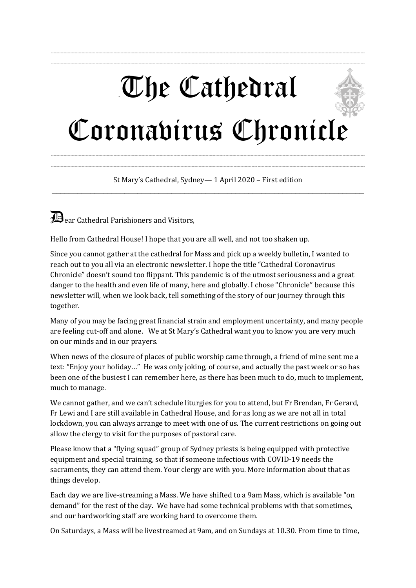## -The Cathedral Coronavirus Chronicle

--------------------------------------------------------------------------------------------------------------------------------------------------------------------------------------------------------------------------------- ---------------------------------------------------------------------------------------------------------------------------------------------------------------------------------------------------------------------------------

--------------------------------------------------------------------------------------------------------------------------------------------------------------------------------------------------------------------------------- St Mary's Cathedral, Sydney— 1 April 2020 – First edition \_\_\_\_\_\_\_\_\_\_\_\_\_\_\_\_\_\_\_\_\_\_\_\_\_\_\_\_\_\_\_\_\_\_\_\_\_\_\_\_\_\_\_\_\_\_\_\_\_\_\_\_\_\_\_\_\_\_\_\_\_\_\_\_\_\_\_\_\_\_\_\_\_

---------------------------------------------------------------------------------------------------------------------------------------------------------------------------------------------------------------------------------

**Dear Cathedral Parishioners and Visitors,** 

Hello from Cathedral House! I hope that you are all well, and not too shaken up.

Since you cannot gather at the cathedral for Mass and pick up a weekly bulletin, I wanted to reach out to you all via an electronic newsletter. I hope the title "Cathedral Coronavirus Chronicle" doesn't sound too flippant. This pandemic is of the utmost seriousness and a great danger to the health and even life of many, here and globally. I chose "Chronicle" because this newsletter will, when we look back, tell something of the story of our journey through this together.

Many of you may be facing great financial strain and employment uncertainty, and many people are feeling cut-off and alone. We at St Mary's Cathedral want you to know you are very much on our minds and in our prayers.

When news of the closure of places of public worship came through, a friend of mine sent me a text: "Enjoy your holiday…" He was only joking, of course, and actually the past week or so has been one of the busiest I can remember here, as there has been much to do, much to implement, much to manage.

We cannot gather, and we can't schedule liturgies for you to attend, but Fr Brendan, Fr Gerard, Fr Lewi and I are still available in Cathedral House, and for as long as we are not all in total lockdown, you can always arrange to meet with one of us. The current restrictions on going out allow the clergy to visit for the purposes of pastoral care.

Please know that a "flying squad" group of Sydney priests is being equipped with protective equipment and special training, so that if someone infectious with COVID-19 needs the sacraments, they can attend them. Your clergy are with you. More information about that as things develop.

Each day we are live-streaming a Mass. We have shifted to a 9am Mass, which is available "on demand" for the rest of the day. We have had some technical problems with that sometimes, and our hardworking staff are working hard to overcome them.

On Saturdays, a Mass will be livestreamed at 9am, and on Sundays at 10.30. From time to time,